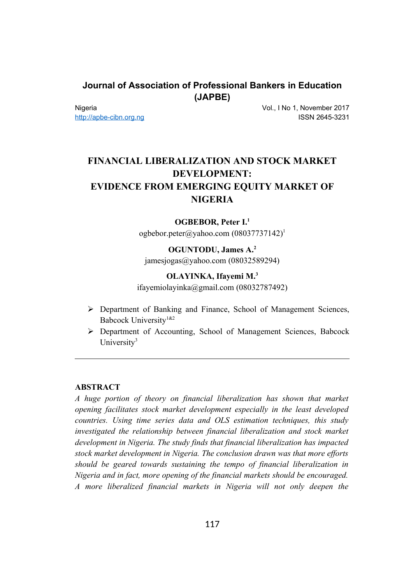# **Journal of Association of Professional Bankers in Education (JAPBE)**

Nigeria [http://apbe-cibn.org.ng](http://apbe-cibn.org.ng/) Vol., I No 1, November 2017 ISSN 2645-3231

# **FINANCIAL LIBERALIZATION AND STOCK MARKET DEVELOPMENT: EVIDENCE FROM EMERGING EQUITY MARKET OF NIGERIA**

### **OGBEBOR, Peter I.<sup>1</sup>**

ogbebor.peter@yahoo.com (08037737142)<sup>1</sup>

# **OGUNTODU, James A.<sup>2</sup>** jamesjogas@yahoo.com (08032589294)

#### **OLAYINKA, Ifayemi M.<sup>3</sup>**

ifayemiolayinka@gmail.com (08032787492)

- $\triangleright$  Department of Banking and Finance, School of Management Sciences, Babcock University<sup>1&2</sup>
- Department of Accounting, School of Management Sciences, Babcock University<sup>3</sup>

#### **ABSTRACT**

*A huge portion of theory on financial liberalization has shown that market opening facilitates stock market development especially in the least developed countries. Using time series data and OLS estimation techniques, this study investigated the relationship between financial liberalization and stock market development in Nigeria. The study finds that financial liberalization has impacted stock market development in Nigeria. The conclusion drawn was that more efforts should be geared towards sustaining the tempo of financial liberalization in Nigeria and in fact, more opening of the financial markets should be encouraged. A more liberalized financial markets in Nigeria will not only deepen the*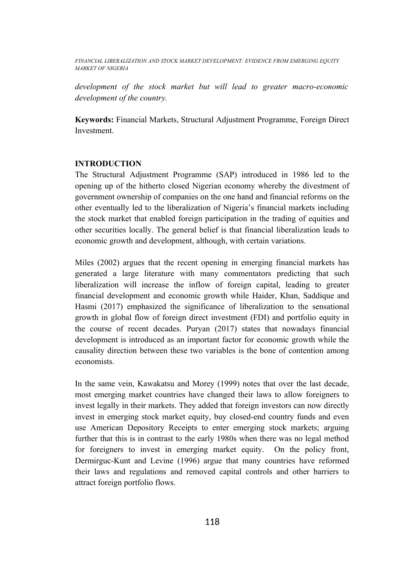*development of the stock market but will lead to greater macro-economic development of the country.*

**Keywords:** Financial Markets, Structural Adjustment Programme, Foreign Direct Investment.

#### **INTRODUCTION**

The Structural Adjustment Programme (SAP) introduced in 1986 led to the opening up of the hitherto closed Nigerian economy whereby the divestment of government ownership of companies on the one hand and financial reforms on the other eventually led to the liberalization of Nigeria's financial markets including the stock market that enabled foreign participation in the trading of equities and other securities locally. The general belief is that financial liberalization leads to economic growth and development, although, with certain variations.

Miles (2002) argues that the recent opening in emerging financial markets has generated a large literature with many commentators predicting that such liberalization will increase the inflow of foreign capital, leading to greater financial development and economic growth while Haider, Khan, Saddique and Hasmi (2017) emphasized the significance of liberalization to the sensational growth in global flow of foreign direct investment (FDI) and portfolio equity in the course of recent decades. Puryan (2017) states that nowadays financial development is introduced as an important factor for economic growth while the causality direction between these two variables is the bone of contention among economists.

In the same vein, Kawakatsu and Morey (1999) notes that over the last decade, most emerging market countries have changed their laws to allow foreigners to invest legally in their markets. They added that foreign investors can now directly invest in emerging stock market equity, buy closed-end country funds and even use American Depository Receipts to enter emerging stock markets; arguing further that this is in contrast to the early 1980s when there was no legal method for foreigners to invest in emerging market equity. On the policy front, Dermirguc-Kunt and Levine (1996) argue that many countries have reformed their laws and regulations and removed capital controls and other barriers to attract foreign portfolio flows.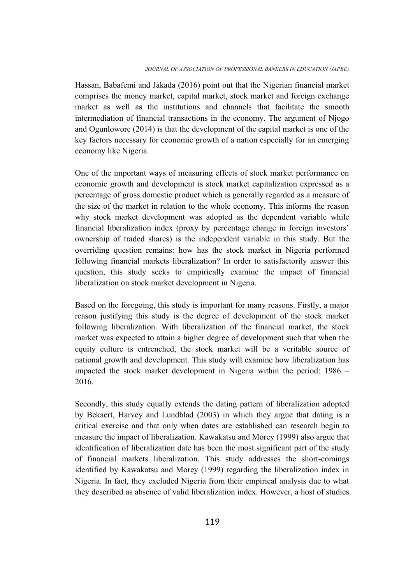Hassan, Babafemi and Jakada (2016) point out that the Nigerian financial market comprises the money market, capital market, stock market and foreign exchange market as well as the institutions and channels that facilitate the smooth intermediation of financial transactions in the economy. The argument of Njogo and Ogunlowore (2014) is that the development of the capital market is one of the key factors necessary for economic growth of a nation especially for an emerging economy like Nigeria.

One of the important ways of measuring effects of stock market performance on economic growth and development is stock market capitalization expressed as a percentage of gross domestic product which is generally regarded as a measure of the size of the market in relation to the whole economy. This informs the reason why stock market development was adopted as the dependent variable while financial liberalization index (proxy by percentage change in foreign investors' ownership of traded shares) is the independent variable in this study. But the overriding question remains: how has the stock market in Nigeria performed following financial markets liberalization? In order to satisfactorily answer this question, this study seeks to empirically examine the impact of financial liberalization on stock market development in Nigeria.

Based on the foregoing, this study is important for many reasons. Firstly, a major reason justifying this study is the degree of development of the stock market following liberalization. With liberalization of the financial market, the stock market was expected to attain a higher degree of development such that when the equity culture is entrenched, the stock market will be a veritable source of national growth and development. This study will examine how liberalization has impacted the stock market development in Nigeria within the period: 1986 – 2016.

Secondly, this study equally extends the dating pattern of liberalization adopted by Bekaert, Harvey and Lundblad (2003) in which they argue that dating is a critical exercise and that only when dates are established can research begin to measure the impact of liberalization. Kawakatsu and Morey (1999) also argue that identification of liberalization date has been the most significant part of the study of financial markets liberalization. This study addresses the short-comings identified by Kawakatsu and Morey (1999) regarding the liberalization index in Nigeria. In fact, they excluded Nigeria from their empirical analysis due to what they described as absence of valid liberalization index. However, a host of studies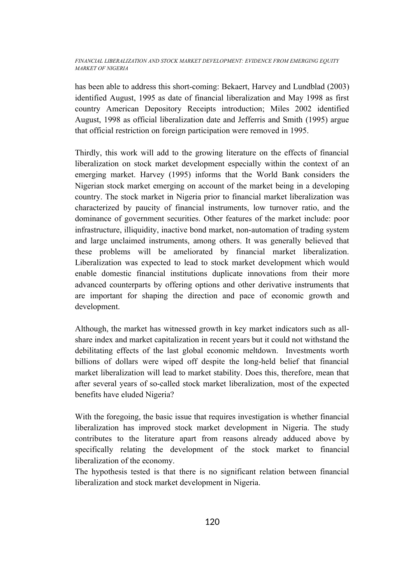has been able to address this short-coming: Bekaert, Harvey and Lundblad (2003) identified August, 1995 as date of financial liberalization and May 1998 as first country American Depository Receipts introduction; Miles 2002 identified August, 1998 as official liberalization date and Jefferris and Smith (1995) argue that official restriction on foreign participation were removed in 1995.

Thirdly, this work will add to the growing literature on the effects of financial liberalization on stock market development especially within the context of an emerging market. Harvey (1995) informs that the World Bank considers the Nigerian stock market emerging on account of the market being in a developing country. The stock market in Nigeria prior to financial market liberalization was characterized by paucity of financial instruments, low turnover ratio, and the dominance of government securities. Other features of the market include: poor infrastructure, illiquidity, inactive bond market, non-automation of trading system and large unclaimed instruments, among others. It was generally believed that these problems will be ameliorated by financial market liberalization. Liberalization was expected to lead to stock market development which would enable domestic financial institutions duplicate innovations from their more advanced counterparts by offering options and other derivative instruments that are important for shaping the direction and pace of economic growth and development.

Although, the market has witnessed growth in key market indicators such as allshare index and market capitalization in recent years but it could not withstand the debilitating effects of the last global economic meltdown. Investments worth billions of dollars were wiped off despite the long-held belief that financial market liberalization will lead to market stability. Does this, therefore, mean that after several years of so-called stock market liberalization, most of the expected benefits have eluded Nigeria?

With the foregoing, the basic issue that requires investigation is whether financial liberalization has improved stock market development in Nigeria. The study contributes to the literature apart from reasons already adduced above by specifically relating the development of the stock market to financial liberalization of the economy.

The hypothesis tested is that there is no significant relation between financial liberalization and stock market development in Nigeria.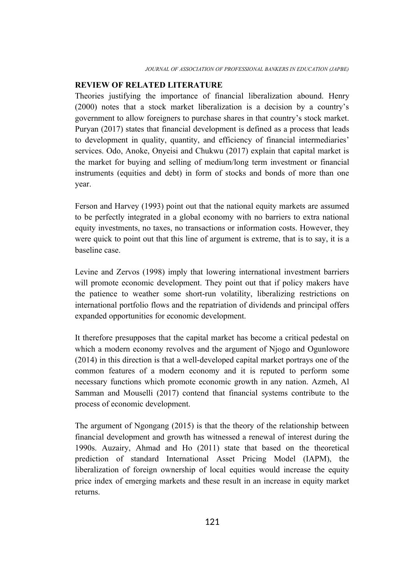## **REVIEW OF RELATED LITERATURE**

Theories justifying the importance of financial liberalization abound. Henry (2000) notes that a stock market liberalization is a decision by a country's government to allow foreigners to purchase shares in that country's stock market. Puryan (2017) states that financial development is defined as a process that leads to development in quality, quantity, and efficiency of financial intermediaries' services. Odo, Anoke, Onyeisi and Chukwu (2017) explain that capital market is the market for buying and selling of medium/long term investment or financial instruments (equities and debt) in form of stocks and bonds of more than one year.

Ferson and Harvey (1993) point out that the national equity markets are assumed to be perfectly integrated in a global economy with no barriers to extra national equity investments, no taxes, no transactions or information costs. However, they were quick to point out that this line of argument is extreme, that is to say, it is a baseline case.

Levine and Zervos (1998) imply that lowering international investment barriers will promote economic development. They point out that if policy makers have the patience to weather some short-run volatility, liberalizing restrictions on international portfolio flows and the repatriation of dividends and principal offers expanded opportunities for economic development.

It therefore presupposes that the capital market has become a critical pedestal on which a modern economy revolves and the argument of Njogo and Ogunlowore (2014) in this direction is that a well-developed capital market portrays one of the common features of a modern economy and it is reputed to perform some necessary functions which promote economic growth in any nation. Azmeh, Al Samman and Mouselli (2017) contend that financial systems contribute to the process of economic development.

The argument of Ngongang (2015) is that the theory of the relationship between financial development and growth has witnessed a renewal of interest during the 1990s. Auzairy, Ahmad and Ho (2011) state that based on the theoretical prediction of standard International Asset Pricing Model (IAPM), the liberalization of foreign ownership of local equities would increase the equity price index of emerging markets and these result in an increase in equity market returns.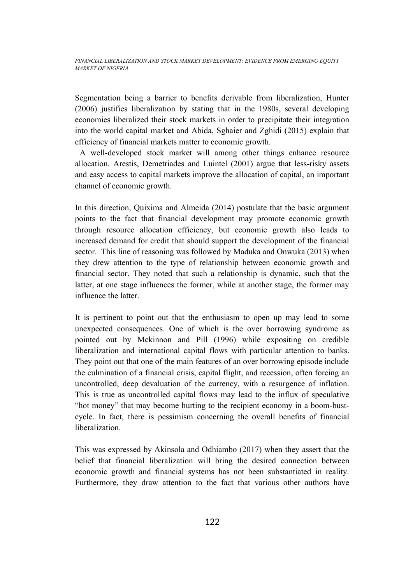Segmentation being a barrier to benefits derivable from liberalization, Hunter (2006) justifies liberalization by stating that in the 1980s, several developing economies liberalized their stock markets in order to precipitate their integration into the world capital market and Abida, Sghaier and Zghidi (2015) explain that efficiency of financial markets matter to economic growth.

 A well-developed stock market will among other things enhance resource allocation. Arestis, Demetriades and Luintel (2001) argue that less-risky assets and easy access to capital markets improve the allocation of capital, an important channel of economic growth.

In this direction, Quixima and Almeida (2014) postulate that the basic argument points to the fact that financial development may promote economic growth through resource allocation efficiency, but economic growth also leads to increased demand for credit that should support the development of the financial sector. This line of reasoning was followed by Maduka and Onwuka (2013) when they drew attention to the type of relationship between economic growth and financial sector. They noted that such a relationship is dynamic, such that the latter, at one stage influences the former, while at another stage, the former may influence the latter.

It is pertinent to point out that the enthusiasm to open up may lead to some unexpected consequences. One of which is the over borrowing syndrome as pointed out by Mckinnon and Pill (1996) while expositing on credible liberalization and international capital flows with particular attention to banks. They point out that one of the main features of an over borrowing episode include the culmination of a financial crisis, capital flight, and recession, often forcing an uncontrolled, deep devaluation of the currency, with a resurgence of inflation. This is true as uncontrolled capital flows may lead to the influx of speculative "hot money" that may become hurting to the recipient economy in a boom-bustcycle. In fact, there is pessimism concerning the overall benefits of financial liberalization.

This was expressed by Akinsola and Odhiambo (2017) when they assert that the belief that financial liberalization will bring the desired connection between economic growth and financial systems has not been substantiated in reality. Furthermore, they draw attention to the fact that various other authors have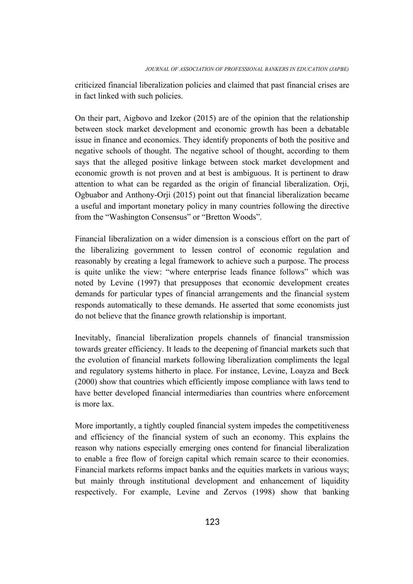criticized financial liberalization policies and claimed that past financial crises are in fact linked with such policies.

On their part, Aigbovo and Izekor (2015) are of the opinion that the relationship between stock market development and economic growth has been a debatable issue in finance and economics. They identify proponents of both the positive and negative schools of thought. The negative school of thought, according to them says that the alleged positive linkage between stock market development and economic growth is not proven and at best is ambiguous. It is pertinent to draw attention to what can be regarded as the origin of financial liberalization. Orji, Ogbuabor and Anthony-Orji (2015) point out that financial liberalization became a useful and important monetary policy in many countries following the directive from the "Washington Consensus" or "Bretton Woods".

Financial liberalization on a wider dimension is a conscious effort on the part of the liberalizing government to lessen control of economic regulation and reasonably by creating a legal framework to achieve such a purpose. The process is quite unlike the view: "where enterprise leads finance follows" which was noted by Levine (1997) that presupposes that economic development creates demands for particular types of financial arrangements and the financial system responds automatically to these demands. He asserted that some economists just do not believe that the finance growth relationship is important.

Inevitably, financial liberalization propels channels of financial transmission towards greater efficiency. It leads to the deepening of financial markets such that the evolution of financial markets following liberalization compliments the legal and regulatory systems hitherto in place. For instance, Levine, Loayza and Beck (2000) show that countries which efficiently impose compliance with laws tend to have better developed financial intermediaries than countries where enforcement is more lax.

More importantly, a tightly coupled financial system impedes the competitiveness and efficiency of the financial system of such an economy. This explains the reason why nations especially emerging ones contend for financial liberalization to enable a free flow of foreign capital which remain scarce to their economies. Financial markets reforms impact banks and the equities markets in various ways; but mainly through institutional development and enhancement of liquidity respectively. For example, Levine and Zervos (1998) show that banking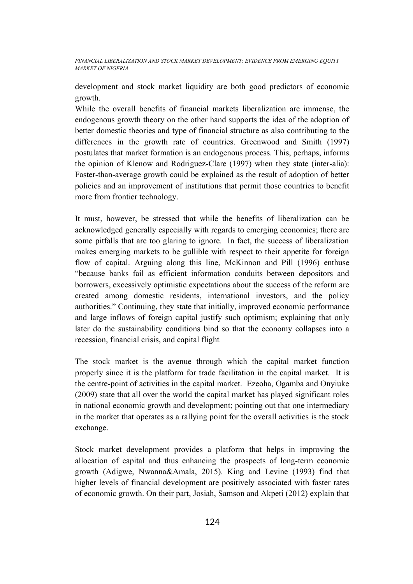development and stock market liquidity are both good predictors of economic growth.

While the overall benefits of financial markets liberalization are immense, the endogenous growth theory on the other hand supports the idea of the adoption of better domestic theories and type of financial structure as also contributing to the differences in the growth rate of countries. Greenwood and Smith (1997) postulates that market formation is an endogenous process. This, perhaps, informs the opinion of Klenow and Rodriguez-Clare (1997) when they state (inter-alia): Faster-than-average growth could be explained as the result of adoption of better policies and an improvement of institutions that permit those countries to benefit more from frontier technology.

It must, however, be stressed that while the benefits of liberalization can be acknowledged generally especially with regards to emerging economies; there are some pitfalls that are too glaring to ignore. In fact, the success of liberalization makes emerging markets to be gullible with respect to their appetite for foreign flow of capital. Arguing along this line, McKinnon and Pill (1996) enthuse "because banks fail as efficient information conduits between depositors and borrowers, excessively optimistic expectations about the success of the reform are created among domestic residents, international investors, and the policy authorities." Continuing, they state that initially, improved economic performance and large inflows of foreign capital justify such optimism; explaining that only later do the sustainability conditions bind so that the economy collapses into a recession, financial crisis, and capital flight

The stock market is the avenue through which the capital market function properly since it is the platform for trade facilitation in the capital market. It is the centre-point of activities in the capital market. Ezeoha, Ogamba and Onyiuke (2009) state that all over the world the capital market has played significant roles in national economic growth and development; pointing out that one intermediary in the market that operates as a rallying point for the overall activities is the stock exchange.

Stock market development provides a platform that helps in improving the allocation of capital and thus enhancing the prospects of long-term economic growth (Adigwe, Nwanna&Amala, 2015). King and Levine (1993) find that higher levels of financial development are positively associated with faster rates of economic growth. On their part, Josiah, Samson and Akpeti (2012) explain that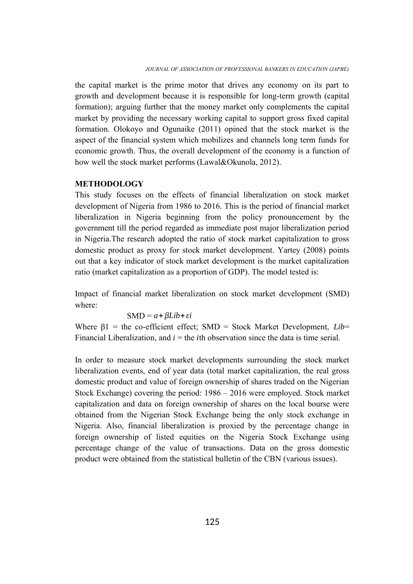the capital market is the prime motor that drives any economy on its part to growth and development because it is responsible for long-term growth (capital formation); arguing further that the money market only complements the capital market by providing the necessary working capital to support gross fixed capital formation. Olokoyo and Ogunaike (2011) opined that the stock market is the aspect of the financial system which mobilizes and channels long term funds for economic growth. Thus, the overall development of the economy is a function of how well the stock market performs (Lawal&Okunola, 2012).

#### **METHODOLOGY**

This study focuses on the effects of financial liberalization on stock market development of Nigeria from 1986 to 2016. This is the period of financial market liberalization in Nigeria beginning from the policy pronouncement by the government till the period regarded as immediate post major liberalization period in Nigeria.The research adopted the ratio of stock market capitalization to gross domestic product as proxy for stock market development. Yartey (2008) points out that a key indicator of stock market development is the market capitalization ratio (market capitalization as a proportion of GDP). The model tested is:

Impact of financial market liberalization on stock market development (SMD) where:

$$
SMD = a + \beta Lib + \varepsilon i
$$

Where β1 = the co-efficient effect; SMD = Stock Market Development, *Lib*= Financial Liberalization, and  $i =$  the *i*th observation since the data is time serial.

In order to measure stock market developments surrounding the stock market liberalization events, end of year data (total market capitalization, the real gross domestic product and value of foreign ownership of shares traded on the Nigerian Stock Exchange) covering the period: 1986 – 2016 were employed. Stock market capitalization and data on foreign ownership of shares on the local bourse were obtained from the Nigerian Stock Exchange being the only stock exchange in Nigeria. Also, financial liberalization is proxied by the percentage change in foreign ownership of listed equities on the Nigeria Stock Exchange using percentage change of the value of transactions. Data on the gross domestic product were obtained from the statistical bulletin of the CBN (various issues).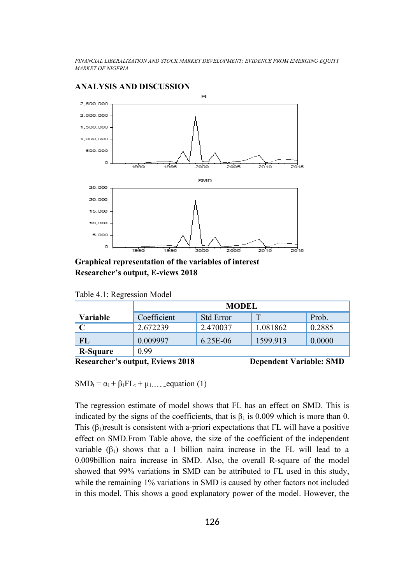

#### **ANALYSIS AND DISCUSSION**

**Graphical representation of the variables of interest Researcher's output, E-views 2018**

| Table 4.1: Regression Model |  |
|-----------------------------|--|
|                             |  |
|                             |  |

|                 | <b>MODEL</b> |                  |          |        |  |
|-----------------|--------------|------------------|----------|--------|--|
| Variable        | Coefficient  | <b>Std Error</b> | т        | Prob.  |  |
|                 | 2.672239     | 2.470037         | 1.081862 | 0.2885 |  |
| FL              | 0.009997     | 6.25E-06         | 1599.913 | 0.0000 |  |
| <b>R-Square</b> | 0 99         |                  |          |        |  |

**Researcher's output, Eviews 2018** Dependent Variable: SMD

SMDt = α1 + β1FLt + µ1……....equation (1)

The regression estimate of model shows that FL has an effect on SMD. This is indicated by the signs of the coefficients, that is  $\beta_1$  is 0.009 which is more than 0. This  $(\beta_1)$ result is consistent with a-priori expectations that FL will have a positive effect on SMD.From Table above, the size of the coefficient of the independent variable  $(\beta_1)$  shows that a 1 billion naira increase in the FL will lead to a 0.009billion naira increase in SMD. Also, the overall R-square of the model showed that 99% variations in SMD can be attributed to FL used in this study, while the remaining 1% variations in SMD is caused by other factors not included in this model. This shows a good explanatory power of the model. However, the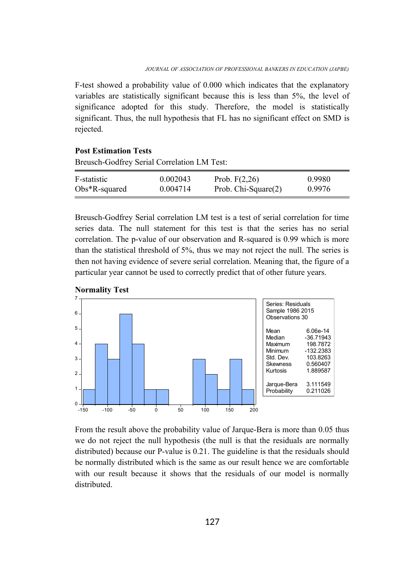F-test showed a probability value of 0.000 which indicates that the explanatory variables are statistically significant because this is less than 5%, the level of significance adopted for this study. Therefore, the model is statistically significant. Thus, the null hypothesis that FL has no significant effect on SMD is rejected.

## **Post Estimation Tests**

Breusch-Godfrey Serial Correlation LM Test:

| F-statistic      | 0.002043 | Prob. $F(2,26)$     | 0.9980 |
|------------------|----------|---------------------|--------|
| $Obs*R$ -squared | 0.004714 | Prob. Chi-Square(2) | 0.9976 |

Breusch-Godfrey Serial correlation LM test is a test of serial correlation for time series data. The null statement for this test is that the series has no serial correlation. The p-value of our observation and R-squared is 0.99 which is more than the statistical threshold of 5%, thus we may not reject the null. The series is then not having evidence of severe serial correlation. Meaning that, the figure of a particular year cannot be used to correctly predict that of other future years.



**Normality Test**

From the result above the probability value of Jarque-Bera is more than 0.05 thus we do not reject the null hypothesis (the null is that the residuals are normally distributed) because our P-value is 0.21. The guideline is that the residuals should be normally distributed which is the same as our result hence we are comfortable with our result because it shows that the residuals of our model is normally distributed.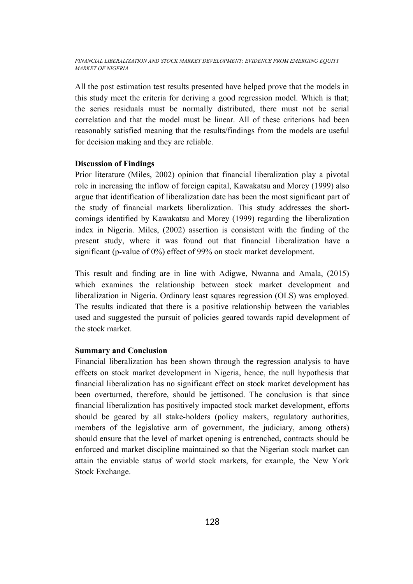All the post estimation test results presented have helped prove that the models in this study meet the criteria for deriving a good regression model. Which is that; the series residuals must be normally distributed, there must not be serial correlation and that the model must be linear. All of these criterions had been reasonably satisfied meaning that the results/findings from the models are useful for decision making and they are reliable.

#### **Discussion of Findings**

Prior literature (Miles, 2002) opinion that financial liberalization play a pivotal role in increasing the inflow of foreign capital, Kawakatsu and Morey (1999) also argue that identification of liberalization date has been the most significant part of the study of financial markets liberalization. This study addresses the shortcomings identified by Kawakatsu and Morey (1999) regarding the liberalization index in Nigeria. Miles, (2002) assertion is consistent with the finding of the present study, where it was found out that financial liberalization have a significant (p-value of 0%) effect of 99% on stock market development.

This result and finding are in line with Adigwe, Nwanna and Amala, (2015) which examines the relationship between stock market development and liberalization in Nigeria. Ordinary least squares regression (OLS) was employed. The results indicated that there is a positive relationship between the variables used and suggested the pursuit of policies geared towards rapid development of the stock market.

#### **Summary and Conclusion**

Financial liberalization has been shown through the regression analysis to have effects on stock market development in Nigeria, hence, the null hypothesis that financial liberalization has no significant effect on stock market development has been overturned, therefore, should be jettisoned. The conclusion is that since financial liberalization has positively impacted stock market development, efforts should be geared by all stake-holders (policy makers, regulatory authorities, members of the legislative arm of government, the judiciary, among others) should ensure that the level of market opening is entrenched, contracts should be enforced and market discipline maintained so that the Nigerian stock market can attain the enviable status of world stock markets, for example, the New York Stock Exchange.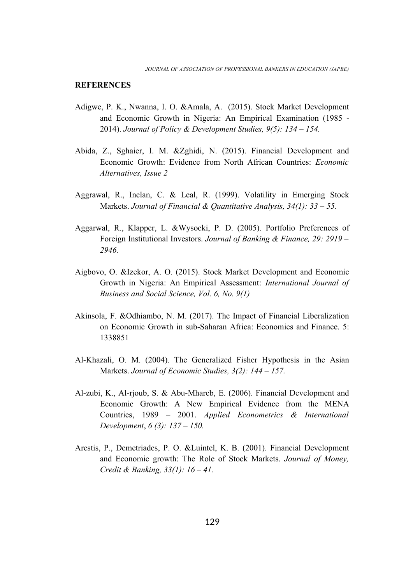#### **REFERENCES**

- Adigwe, P. K., Nwanna, I. O. &Amala, A. (2015). Stock Market Development and Economic Growth in Nigeria: An Empirical Examination (1985 - 2014). *Journal of Policy & Development Studies, 9(5): 134 – 154.*
- Abida, Z., Sghaier, I. M. &Zghidi, N. (2015). Financial Development and Economic Growth: Evidence from North African Countries: *Economic Alternatives, Issue 2*
- Aggrawal, R., Inclan, C. & Leal, R. (1999). Volatility in Emerging Stock Markets. *Journal of Financial & Quantitative Analysis, 34(1): 33 – 55.*
- Aggarwal, R., Klapper, L. &Wysocki, P. D. (2005). Portfolio Preferences of Foreign Institutional Investors. *Journal of Banking & Finance, 29: 2919 – 2946.*
- Aigbovo, O. &Izekor, A. O. (2015). Stock Market Development and Economic Growth in Nigeria: An Empirical Assessment: *International Journal of Business and Social Science, Vol. 6, No. 9(1)*
- Akinsola, F. &Odhiambo, N. M. (2017). The Impact of Financial Liberalization on Economic Growth in sub-Saharan Africa: Economics and Finance. 5: 1338851
- Al-Khazali, O. M. (2004). The Generalized Fisher Hypothesis in the Asian Markets. *Journal of Economic Studies, 3(2): 144 – 157.*
- Al-zubi, K., Al-rjoub, S. & Abu-Mhareb, E. (2006). Financial Development and Economic Growth: A New Empirical Evidence from the MENA Countries, 1989 – 2001. *Applied Econometrics & International Development*, *6 (3): 137 – 150.*
- Arestis, P., Demetriades, P. O. &Luintel, K. B. (2001). Financial Development and Economic growth: The Role of Stock Markets. *Journal of Money, Credit & Banking, 33(1): 16 – 41.*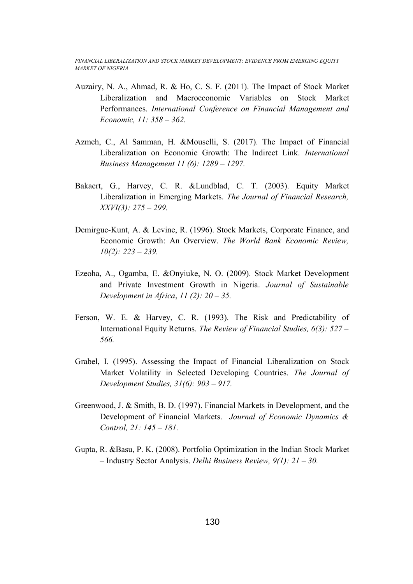- Auzairy, N. A., Ahmad, R. & Ho, C. S. F. (2011). The Impact of Stock Market Liberalization and Macroeconomic Variables on Stock Market Performances. *International Conference on Financial Management and Economic, 11: 358 – 362.*
- Azmeh, C., Al Samman, H. &Mouselli, S. (2017). The Impact of Financial Liberalization on Economic Growth: The Indirect Link. *International Business Management 11 (6): 1289 – 1297.*
- Bakaert, G., Harvey, C. R. &Lundblad, C. T. (2003). Equity Market Liberalization in Emerging Markets. *The Journal of Financial Research, XXVI(3): 275 – 299.*
- Demirguc-Kunt, A. & Levine, R. (1996). Stock Markets, Corporate Finance, and Economic Growth: An Overview. *The World Bank Economic Review, 10(2): 223 – 239.*
- Ezeoha, A., Ogamba, E. &Onyiuke, N. O. (2009). Stock Market Development and Private Investment Growth in Nigeria. *Journal of Sustainable Development in Africa*, *11 (2): 20 – 35.*
- Ferson, W. E. & Harvey, C. R. (1993). The Risk and Predictability of International Equity Returns. *The Review of Financial Studies, 6(3): 527 – 566.*
- Grabel, I. (1995). Assessing the Impact of Financial Liberalization on Stock Market Volatility in Selected Developing Countries. *The Journal of Development Studies, 31(6): 903 – 917.*
- Greenwood, J. & Smith, B. D. (1997). Financial Markets in Development, and the Development of Financial Markets. *Journal of Economic Dynamics & Control, 21: 145 – 181.*
- Gupta, R. &Basu, P. K. (2008). Portfolio Optimization in the Indian Stock Market – Industry Sector Analysis. *Delhi Business Review, 9(1): 21 – 30.*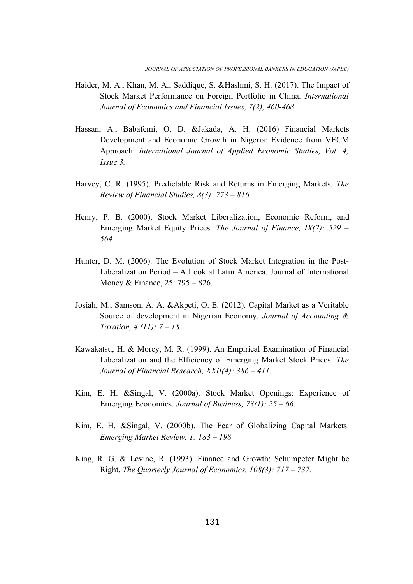- Haider, M. A., Khan, M. A., Saddique, S. &Hashmi, S. H. (2017). The Impact of Stock Market Performance on Foreign Portfolio in China. *International Journal of Economics and Financial Issues, 7(2), 460-468*
- Hassan, A., Babafemi, O. D. &Jakada, A. H. (2016) Financial Markets Development and Economic Growth in Nigeria: Evidence from VECM Approach. *International Journal of Applied Economic Studies, Vol. 4, Issue 3.*
- Harvey, C. R. (1995). Predictable Risk and Returns in Emerging Markets. *The Review of Financial Studies, 8(3): 773 – 816.*
- Henry, P. B. (2000). Stock Market Liberalization, Economic Reform, and Emerging Market Equity Prices. *The Journal of Finance, IX(2): 529 – 564.*
- Hunter, D. M. (2006). The Evolution of Stock Market Integration in the Post-Liberalization Period – A Look at Latin America. Journal of International Money & Finance, 25: 795 – 826.
- Josiah, M., Samson, A. A. &Akpeti, O. E. (2012). Capital Market as a Veritable Source of development in Nigerian Economy. *Journal of Accounting & Taxation, 4 (11): 7 – 18.*
- Kawakatsu, H. & Morey, M. R. (1999). An Empirical Examination of Financial Liberalization and the Efficiency of Emerging Market Stock Prices. *The Journal of Financial Research, XXII(4): 386 – 411.*
- Kim, E. H. &Singal, V. (2000a). Stock Market Openings: Experience of Emerging Economies. *Journal of Business, 73(1): 25 – 66.*
- Kim, E. H. &Singal, V. (2000b). The Fear of Globalizing Capital Markets. *Emerging Market Review, 1: 183 – 198.*
- King, R. G. & Levine, R. (1993). Finance and Growth: Schumpeter Might be Right. *The Quarterly Journal of Economics, 108(3): 717 – 737.*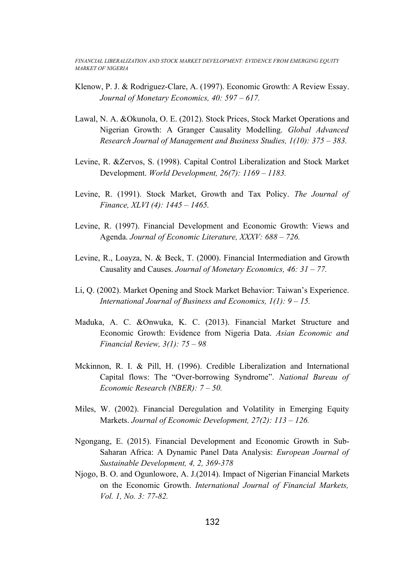- Klenow, P. J. & Rodriguez-Clare, A. (1997). Economic Growth: A Review Essay. *Journal of Monetary Economics, 40: 597 – 617.*
- Lawal, N. A. &Okunola, O. E. (2012). Stock Prices, Stock Market Operations and Nigerian Growth: A Granger Causality Modelling. *Global Advanced Research Journal of Management and Business Studies, 1(10): 375 – 383.*
- Levine, R. &Zervos, S. (1998). Capital Control Liberalization and Stock Market Development. *World Development, 26(7): 1169 – 1183.*
- Levine, R. (1991). Stock Market, Growth and Tax Policy. *The Journal of Finance, XLVI (4): 1445 – 1465.*
- Levine, R. (1997). Financial Development and Economic Growth: Views and Agenda. *Journal of Economic Literature, XXXV: 688 – 726.*
- Levine, R., Loayza, N. & Beck, T. (2000). Financial Intermediation and Growth Causality and Causes. *Journal of Monetary Economics, 46: 31 – 77.*
- Li, Q. (2002). Market Opening and Stock Market Behavior: Taiwan's Experience. *International Journal of Business and Economics, 1(1): 9 – 15.*
- Maduka, A. C. &Onwuka, K. C. (2013). Financial Market Structure and Economic Growth: Evidence from Nigeria Data. *Asian Economic and Financial Review, 3(1): 75 – 98*
- Mckinnon, R. I. & Pill, H. (1996). Credible Liberalization and International Capital flows: The "Over-borrowing Syndrome". *National Bureau of Economic Research (NBER): 7 – 50.*
- Miles, W. (2002). Financial Deregulation and Volatility in Emerging Equity Markets. *Journal of Economic Development, 27(2): 113 – 126.*
- Ngongang, E. (2015). Financial Development and Economic Growth in Sub-Saharan Africa: A Dynamic Panel Data Analysis: *European Journal of Sustainable Development, 4, 2, 369-378*
- Njogo, B. O. and Ogunlowore, A. J.(2014). Impact of Nigerian Financial Markets on the Economic Growth. *International Journal of Financial Markets, Vol. 1, No. 3: 77-82.*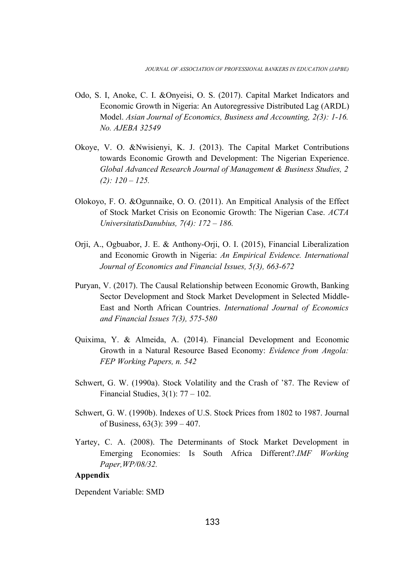- Odo, S. I, Anoke, C. I. &Onyeisi, O. S. (2017). Capital Market Indicators and Economic Growth in Nigeria: An Autoregressive Distributed Lag (ARDL) Model. *Asian Journal of Economics, Business and Accounting, 2(3): 1-16. No. AJEBA 32549*
- Okoye, V. O. &Nwisienyi, K. J. (2013). The Capital Market Contributions towards Economic Growth and Development: The Nigerian Experience. *Global Advanced Research Journal of Management & Business Studies, 2 (2): 120 – 125.*
- Olokoyo, F. O. &Ogunnaike, O. O. (2011). An Empitical Analysis of the Effect of Stock Market Crisis on Economic Growth: The Nigerian Case. *ACTA UniversitatisDanubius, 7(4): 172 – 186.*
- Orji, A., Ogbuabor, J. E. & Anthony-Orji, O. I. (2015), Financial Liberalization and Economic Growth in Nigeria: *An Empirical Evidence. International Journal of Economics and Financial Issues, 5(3), 663-672*
- Puryan, V. (2017). The Causal Relationship between Economic Growth, Banking Sector Development and Stock Market Development in Selected Middle-East and North African Countries. *International Journal of Economics and Financial Issues 7(3), 575-580*
- Quixima, Y. & Almeida, A. (2014). Financial Development and Economic Growth in a Natural Resource Based Economy: *Evidence from Angola: FEP Working Papers, n. 542*
- Schwert, G. W. (1990a). Stock Volatility and the Crash of '87. The Review of Financial Studies, 3(1): 77 – 102.
- Schwert, G. W. (1990b). Indexes of U.S. Stock Prices from 1802 to 1987. Journal of Business, 63(3): 399 – 407.
- Yartey, C. A. (2008). The Determinants of Stock Market Development in Emerging Economies: Is South Africa Different?.*IMF Working Paper,WP/08/32.*

## **Appendix**

Dependent Variable: SMD